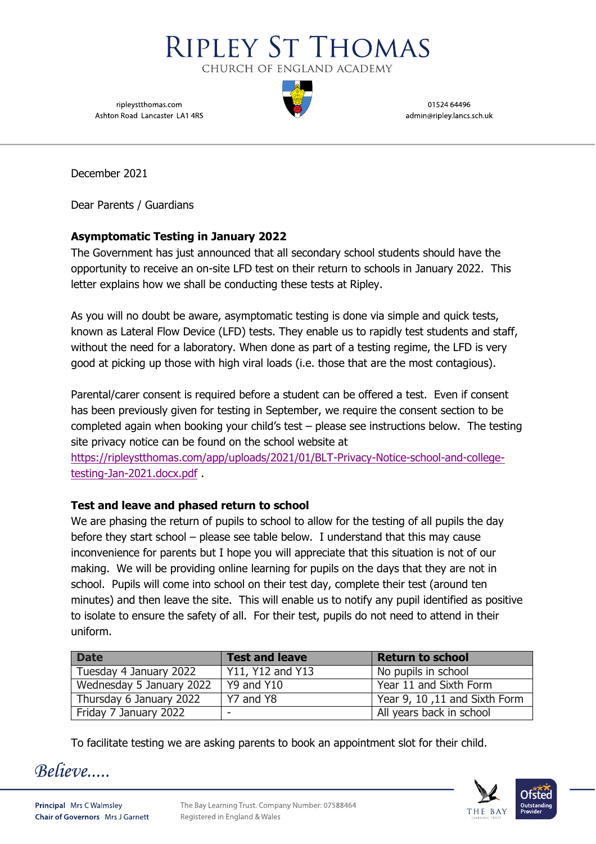

ripleystthomas.com Ashton Road Lancaster LA1 4RS

01524 64496 admin@ripley.lancs.sch.uk

December 2021

Dear Parents / Guardians

## **Asymptomatic Testing in January 2022**

The Government has just announced that all secondary school students should have the opportunity to receive an on-site LFD test on their return to schools in January 2022. This letter explains how we shall be conducting these tests at Ripley.

As you will no doubt be aware, asymptomatic testing is done via simple and quick tests, known as Lateral Flow Device (LFD) tests. They enable us to rapidly test students and staff, without the need for a laboratory. When done as part of a testing regime, the LFD is very good at picking up those with high viral loads (i.e. those that are the most contagious).

Parental/carer consent is required before a student can be offered a test. Even if consent has been previously given for testing in September, we require the consent section to be completed again when booking your child's test – please see instructions below. The testing site privacy notice can be found on the school website at

[https://ripleystthomas.com/app/uploads/2021/01/BLT-Privacy-Notice-school-and-college](https://ripleystthomas.com/app/uploads/2021/01/BLT-Privacy-Notice-school-and-college-testing-Jan-2021.docx.pdf)[testing-Jan-2021.docx.pdf](https://ripleystthomas.com/app/uploads/2021/01/BLT-Privacy-Notice-school-and-college-testing-Jan-2021.docx.pdf) .

# **Test and leave and phased return to school**

We are phasing the return of pupils to school to allow for the testing of all pupils the day before they start school – please see table below. I understand that this may cause inconvenience for parents but I hope you will appreciate that this situation is not of our making. We will be providing online learning for pupils on the days that they are not in school. Pupils will come into school on their test day, complete their test (around ten minutes) and then leave the site. This will enable us to notify any pupil identified as positive to isolate to ensure the safety of all. For their test, pupils do not need to attend in their uniform.

| <b>Date</b>              | <b>Test and leave</b> | <b>Return to school</b>       |
|--------------------------|-----------------------|-------------------------------|
| Tuesday 4 January 2022   | Y11, Y12 and Y13      | No pupils in school           |
| Wednesday 5 January 2022 | Y9 and Y10            | Year 11 and Sixth Form        |
| Thursday 6 January 2022  | Y7 and Y8             | Year 9, 10, 11 and Sixth Form |
| Friday 7 January 2022    |                       | All years back in school      |

To facilitate testing we are asking parents to book an appointment slot for their child.

Believe....